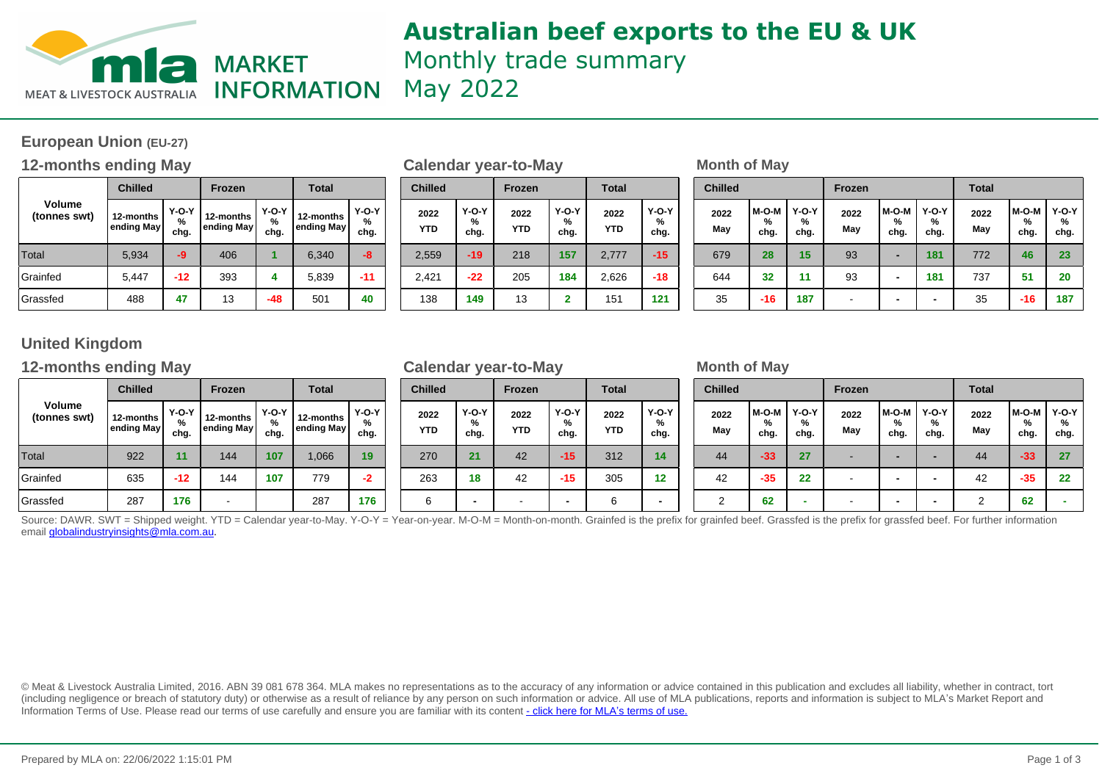

## **Australian beef exports to the EU & UK** Monthly trade summary

May 2022

### **European Union (EU-27)**

### **12-months ending May be a set of Calendar year-to-May be a set of May Month of May**

|                               | <b>Chilled</b>          |                      | <b>Frozen</b>           |                           | <b>Total</b>            |                           |  |  |
|-------------------------------|-------------------------|----------------------|-------------------------|---------------------------|-------------------------|---------------------------|--|--|
| <b>Volume</b><br>(tonnes swt) | 12-months<br>ending May | $Y-O-Y$<br>%<br>chg. | 12-months<br>ending May | <b>Y-O-Y</b><br>%<br>chg. | 12-months<br>ending May | <b>Y-O-Y</b><br>%<br>chg. |  |  |
| Total                         | 5,934                   | -9                   | 406                     |                           | 6,340                   | -8                        |  |  |
| Grainfed                      | 5,447                   | $-12$                | 393                     | 4                         | 5,839                   | $-11$                     |  |  |
| Grassfed                      | 488                     | 47                   | 13                      | -48                       | 501                     | 40                        |  |  |

|                    |                    | Calendar year-to-may |                      |                    |                      |  |  |
|--------------------|--------------------|----------------------|----------------------|--------------------|----------------------|--|--|
| <b>Chilled</b>     |                    | <b>Frozen</b>        |                      | <b>Total</b>       |                      |  |  |
| 2022<br><b>YTD</b> | Y-O-Y<br>℅<br>chg. | 2022<br><b>YTD</b>   | $Y-O-Y$<br>%<br>chg. | 2022<br><b>YTD</b> | $Y-O-Y$<br>%<br>chg. |  |  |
| 2,559              | $-19$              | 218                  | 157                  | 2,777              | $-15$                |  |  |
| 2,421              | $-22$              | 205                  | 184                  | 2,626              | -18                  |  |  |
| 138                | 149                | 13                   | $\mathbf{2}$         | 151                | 121                  |  |  |

| <b>rozen</b>      | Total                |                         |                      |  |                    |                      |                    |                      |                    |                      |  |             | <b>Chilled</b>       |                      | Frozen      |                    | <b>Total</b>         |             | <b>Chilled</b>     |                           |  | <b>Frozen</b> |  |  | <b>Total</b> |  |  |
|-------------------|----------------------|-------------------------|----------------------|--|--------------------|----------------------|--------------------|----------------------|--------------------|----------------------|--|-------------|----------------------|----------------------|-------------|--------------------|----------------------|-------------|--------------------|---------------------------|--|---------------|--|--|--------------|--|--|
| months<br>ing May | $Y-O-Y$<br>%<br>chg. | 12-months<br>ending May | $Y-O-Y$<br>%<br>chg. |  | 2022<br><b>YTD</b> | $Y-O-Y$<br>℅<br>chg. | 2022<br><b>YTD</b> | $Y-O-Y$<br>%<br>chg. | 2022<br><b>YTD</b> | $Y-O-Y$<br>%<br>chg. |  | 2022<br>May | l M-O-M<br>%<br>chg. | $Y-O-Y$<br>%<br>chg. | 2022<br>May | M-O-M<br>%<br>chg. | $Y-O-Y$<br>℅<br>chg. | 2022<br>May | M-O-M<br>%<br>chg. | <b>Y-O-Y</b><br>%<br>chg. |  |               |  |  |              |  |  |
| 406               |                      | 6,340                   | -8                   |  | 2,559              | -19                  | 218                | 157                  | 2.777              | $-15$                |  | 679         | 28                   | 15                   | 93          |                    | 181                  | 772         | 46                 | 23                        |  |               |  |  |              |  |  |
| 393               |                      | 5,839                   | $-11$                |  | 2,421              | $-22$                | 205                | 184                  | 2,626              | $-18$                |  | 644         | 32                   | 11                   | 93          |                    | 181                  | 737         | 51                 | 20                        |  |               |  |  |              |  |  |
| 13                | $-48$                | 501                     | 40                   |  | 138                | 149                  | 13                 | -                    | 151                | 121                  |  | 35          | $-16$                | 187                  |             |                    | -                    | 35          | $-16$              | 187                       |  |               |  |  |              |  |  |

### **United Kingdom**

### **12-months ending May be a set of Calendar year-to-May be a set of May** be a set of May

|                               | <b>Chilled</b>           |                      | <b>Frozen</b>           |                      | <b>Total</b>            |                           |  |  |
|-------------------------------|--------------------------|----------------------|-------------------------|----------------------|-------------------------|---------------------------|--|--|
| <b>Volume</b><br>(tonnes swt) | 12-months<br>ending May! | $Y-O-Y$<br>%<br>chg. | 12-months<br>ending May | $Y-O-Y$<br>%<br>chg. | 12-months<br>ending May | <b>Y-O-Y</b><br>%<br>chg. |  |  |
| Total                         | 922                      | 11                   | 144                     | 107                  | 1,066                   | 19                        |  |  |
| Grainfed                      | 635                      | $-12$                | 144                     | 107                  | 779                     | -2                        |  |  |
| Grassfed                      | 287                      | 176                  |                         |                      | 287                     | 176                       |  |  |

| <b>Chilled</b>     |                      | <b>Frozen</b>      |                      | <b>Total</b>       |                      |
|--------------------|----------------------|--------------------|----------------------|--------------------|----------------------|
| 2022<br><b>YTD</b> | $Y-O-Y$<br>%<br>chg. | 2022<br><b>YTD</b> | $Y-O-Y$<br>%<br>chg. | 2022<br><b>YTD</b> | $Y-O-Y$<br>%<br>chg. |
| 270                | 21                   | 42                 | $-15$                | 312                | 14                   |
| 263                | 18                   | 42                 | $-15$                | 305                | 12                   |
| 6                  |                      |                    |                      | 6                  |                      |

| <b>rozen</b>             | <b>Total</b>         |                         |                      | <b>Chilled</b>     |                      | Frozen             |                          | <b>Total</b>       |                      | <b>Chilled</b> |                    |                      | <b>Frozen</b> |                    |                      | <b>Total</b> |                    |                 |  |
|--------------------------|----------------------|-------------------------|----------------------|--------------------|----------------------|--------------------|--------------------------|--------------------|----------------------|----------------|--------------------|----------------------|---------------|--------------------|----------------------|--------------|--------------------|-----------------|--|
| months<br>ing May        | $Y-O-Y$<br>%<br>chg. | 12-months<br>ending May | $Y-O-Y$<br>℅<br>chg. | 2022<br><b>YTD</b> | $Y-O-Y$<br>%<br>chg. | 2022<br><b>YTD</b> | $Y-O-Y$<br>%<br>chg.     | 2022<br><b>YTD</b> | $Y-O-Y$<br>%<br>chg. | 2022<br>May    | M-O-M<br>%<br>chg. | $Y-O-Y$<br>%<br>chg. | 2022<br>May   | M-O-M<br>%<br>chg. | $Y-O-Y$<br>%<br>chg. | 2022<br>May  | M-O-M<br>%<br>chg. | $Y-O-Y$<br>chg. |  |
| 144                      | 107                  | 1,066                   | 19                   | 270                | 21                   | 42                 | $-15$                    | 312                | 14                   | 44             | $-33$              | 27                   |               |                    |                      | 44           | -33                | 27              |  |
| 144                      | 107                  | 779                     | -2                   | 263                | 18                   | 42                 | $-15$                    | 305                | 12                   | 42             | $-35$              | 22                   | -             |                    |                      | 42           | $-35$              | 22              |  |
| $\overline{\phantom{a}}$ |                      | 287                     | 176                  | 6                  |                      |                    | $\overline{\phantom{0}}$ | 6                  |                      |                | 62                 | -                    |               |                    |                      | ⌒            | 62                 |                 |  |

Source: DAWR. SWT = Shipped weight. YTD = Calendar year-to-May. Y-O-Y = Year-on-year. M-O-M = Month-on-month. Grainfed is the prefix for grainfed beef. Grassfed is the prefix for grassfed beef. For further information email globalindustryinsights@mla.com.au.

© Meat & Livestock Australia Limited, 2016. ABN 39 081 678 364. MLA makes no representations as to the accuracy of any information or advice contained in this publication and excludes all liability, whether in contract, tort (including negligence or breach of statutory duty) or otherwise as a result of reliance by any person on such information or advice. All use of MLA publications, reports and information is subject to MLA's Market Report an Information Terms of Use. Please read our terms of use carefully and ensure you are familiar with its content [- click here for MLA](http://www.mla.com.au/files/edae0364-a185-4a6f-9dff-a42700d1463a/MLA-Market-Report-and-Information-Terms-of-use-Dec-2014.pdf)'[s terms of use.](http://www.mla.com.au/files/edae0364-a185-4a6f-9dff-a42700d1463a/MLA-Market-Report-and-Information-Terms-of-use-Dec-2014.pdf)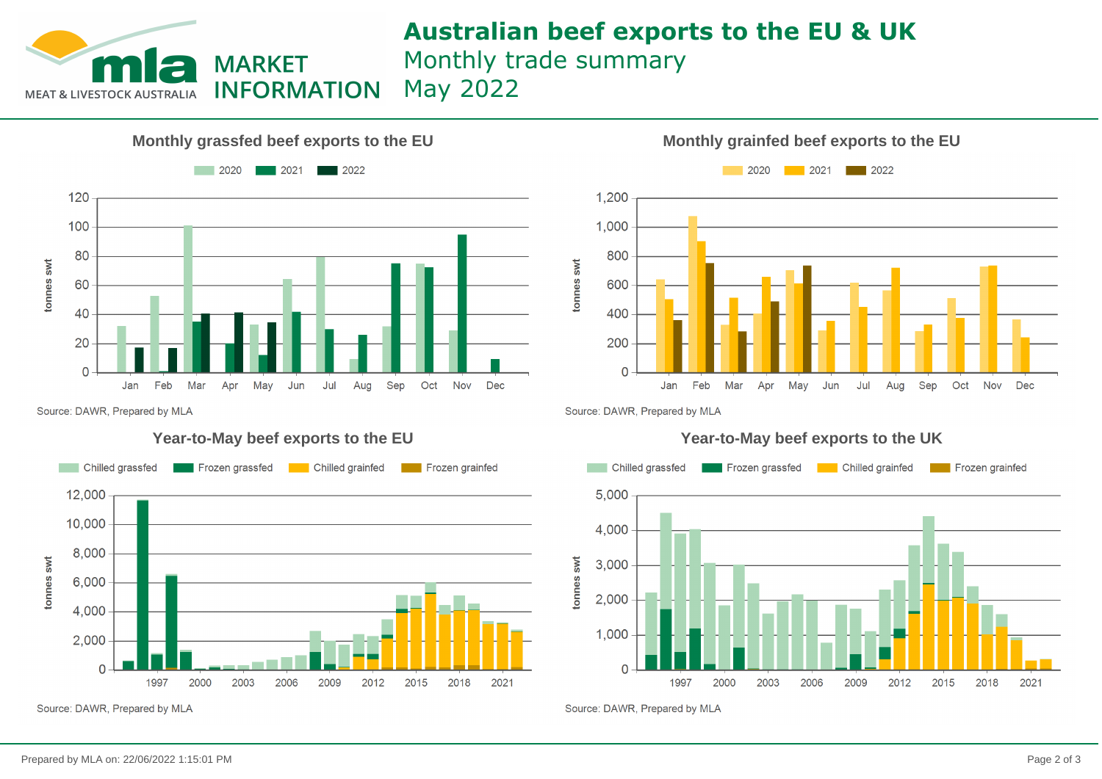

## **Australian beef exports to the EU & UK** Monthly trade summary

May 2022





Source: DAWR, Prepared by MLA

### **Year-to-May beef exports to the EU**



Source: DAWR, Prepared by MLA

Source: DAWR, Prepared by MLA



Source: DAWR, Prepared by MLA